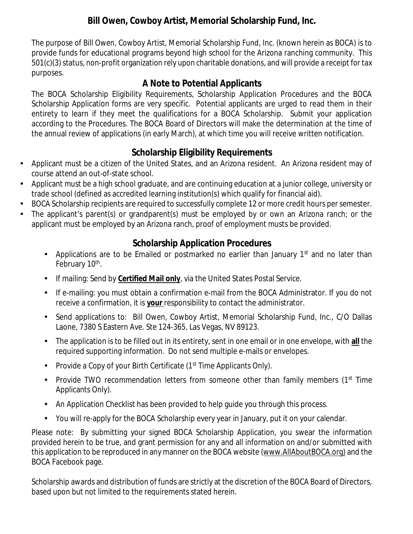The purpose of Bill Owen, Cowboy Artist, Memorial Scholarship Fund, Inc. (known herein as BOCA) is to provide funds for educational programs beyond high school for the Arizona ranching community. This 501(c)(3) status, non-profit organization rely upon charitable donations, and will provide a receipt for tax purposes.

## **A Note to Potential Applicants**

The BOCA Scholarship Eligibility Requirements, Scholarship Application Procedures and the BOCA Scholarship Application forms are very specific. Potential applicants are urged to read them in their entirety to learn if they meet the qualifications for a BOCA Scholarship. Submit your application according to the Procedures. The BOCA Board of Directors will make the determination at the time of the annual review of applications (in early March), at which time you will receive written notification.

## **Scholarship Eligibility Requirements**

- Applicant must be a citizen of the United States, and an Arizona resident. An Arizona resident may of ä, course attend an out-of-state school.
- Applicant must be a high school graduate, and are continuing education at a junior college, university or ä, trade school (defined as accredited learning institution(s) which qualify for financial aid).
- BOCA Scholarship recipients are required to successfully complete 12 or more credit hours per semester.  $\mathbf{r}$
- The applicant's parent(s) or grandparent(s) must be employed by or own an Arizona ranch; or the applicant must be employed by an Arizona ranch, proof of employment musts be provided.

## **Scholarship Application Procedures**

- Applications are to be Emailed or postmarked no earlier than January  $1<sup>st</sup>$  and no later than  $\mathbf{r}$ February 10<sup>th</sup>.
- If mailing: Send by **Certified Mail only**, via the United States Postal Service.
- If e-mailing: you must obtain a confirmation e-mail from the BOCA Administrator. If you do not receive a confirmation, it is **your** responsibility to contact the administrator.
- Send applications to: Bill Owen, Cowboy Artist, Memorial Scholarship Fund, Inc., C/O Dallas Laone, 7380 S Eastern Ave. Ste 124-365, Las Vegas, NV 89123.
- The application is to be filled out in its entirety, sent in one email or in one envelope, with **all** the required supporting information. Do not send multiple e-mails or envelopes.
- Provide a Copy of your Birth Certificate (1<sup>st</sup> Time Applicants Only).  $\mathbf{r}$
- Provide TWO recommendation letters from someone other than family members (1<sup>st</sup> Time  $\mathbf{r}$ Applicants Only).
- An Application Checklist has been provided to help guide you through this process.
- You will re-apply for the BOCA Scholarship every year in January, put it on your calendar.

Please note: By submitting your signed BOCA Scholarship Application, you swear the information provided herein to be true, and grant permission for any and all information on and/or submitted with this application to be reproduced in any manner on the BOCA website [\(www.AllAboutBOCA.org\)](http://www.AllAboutBOCA.org)) and the BOCA Facebook page.

Scholarship awards and distribution of funds are strictly at the discretion of the BOCA Board of Directors, based upon but not limited to the requirements stated herein.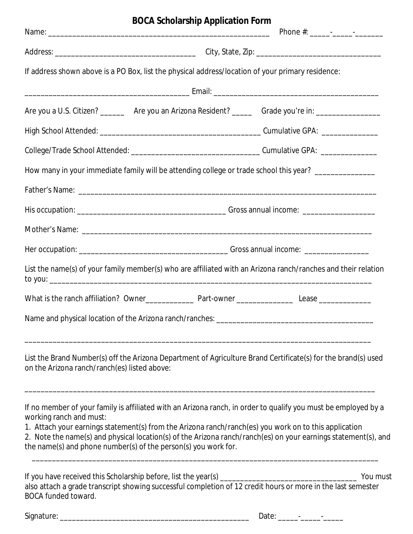|                                              | <b>BOCA Scholarship Application Form</b>                                                                                                                                                                                                                                                                                                                                                                    |          |
|----------------------------------------------|-------------------------------------------------------------------------------------------------------------------------------------------------------------------------------------------------------------------------------------------------------------------------------------------------------------------------------------------------------------------------------------------------------------|----------|
|                                              |                                                                                                                                                                                                                                                                                                                                                                                                             |          |
|                                              |                                                                                                                                                                                                                                                                                                                                                                                                             |          |
|                                              | If address shown above is a PO Box, list the physical address/location of your primary residence:                                                                                                                                                                                                                                                                                                           |          |
|                                              |                                                                                                                                                                                                                                                                                                                                                                                                             |          |
|                                              | Are you a U.S. Citizen? _________ Are you an Arizona Resident? _______ Grade you're in: __________________                                                                                                                                                                                                                                                                                                  |          |
|                                              |                                                                                                                                                                                                                                                                                                                                                                                                             |          |
|                                              |                                                                                                                                                                                                                                                                                                                                                                                                             |          |
|                                              | How many in your immediate family will be attending college or trade school this year? _____________                                                                                                                                                                                                                                                                                                        |          |
|                                              |                                                                                                                                                                                                                                                                                                                                                                                                             |          |
|                                              |                                                                                                                                                                                                                                                                                                                                                                                                             |          |
|                                              |                                                                                                                                                                                                                                                                                                                                                                                                             |          |
|                                              |                                                                                                                                                                                                                                                                                                                                                                                                             |          |
|                                              | List the name(s) of your family member(s) who are affiliated with an Arizona ranch/ranches and their relation                                                                                                                                                                                                                                                                                               |          |
|                                              |                                                                                                                                                                                                                                                                                                                                                                                                             |          |
|                                              |                                                                                                                                                                                                                                                                                                                                                                                                             |          |
| on the Arizona ranch/ranch(es) listed above: | List the Brand Number(s) off the Arizona Department of Agriculture Brand Certificate(s) for the brand(s) used                                                                                                                                                                                                                                                                                               |          |
| working ranch and must:                      | If no member of your family is affiliated with an Arizona ranch, in order to qualify you must be employed by a<br>1. Attach your earnings statement(s) from the Arizona ranch/ranch(es) you work on to this application<br>2. Note the name(s) and physical location(s) of the Arizona ranch/ranch(es) on your earnings statement(s), and<br>the name(s) and phone number(s) of the person(s) you work for. |          |
| <b>BOCA funded toward.</b>                   | also attach a grade transcript showing successful completion of 12 credit hours or more in the last semester                                                                                                                                                                                                                                                                                                | You must |